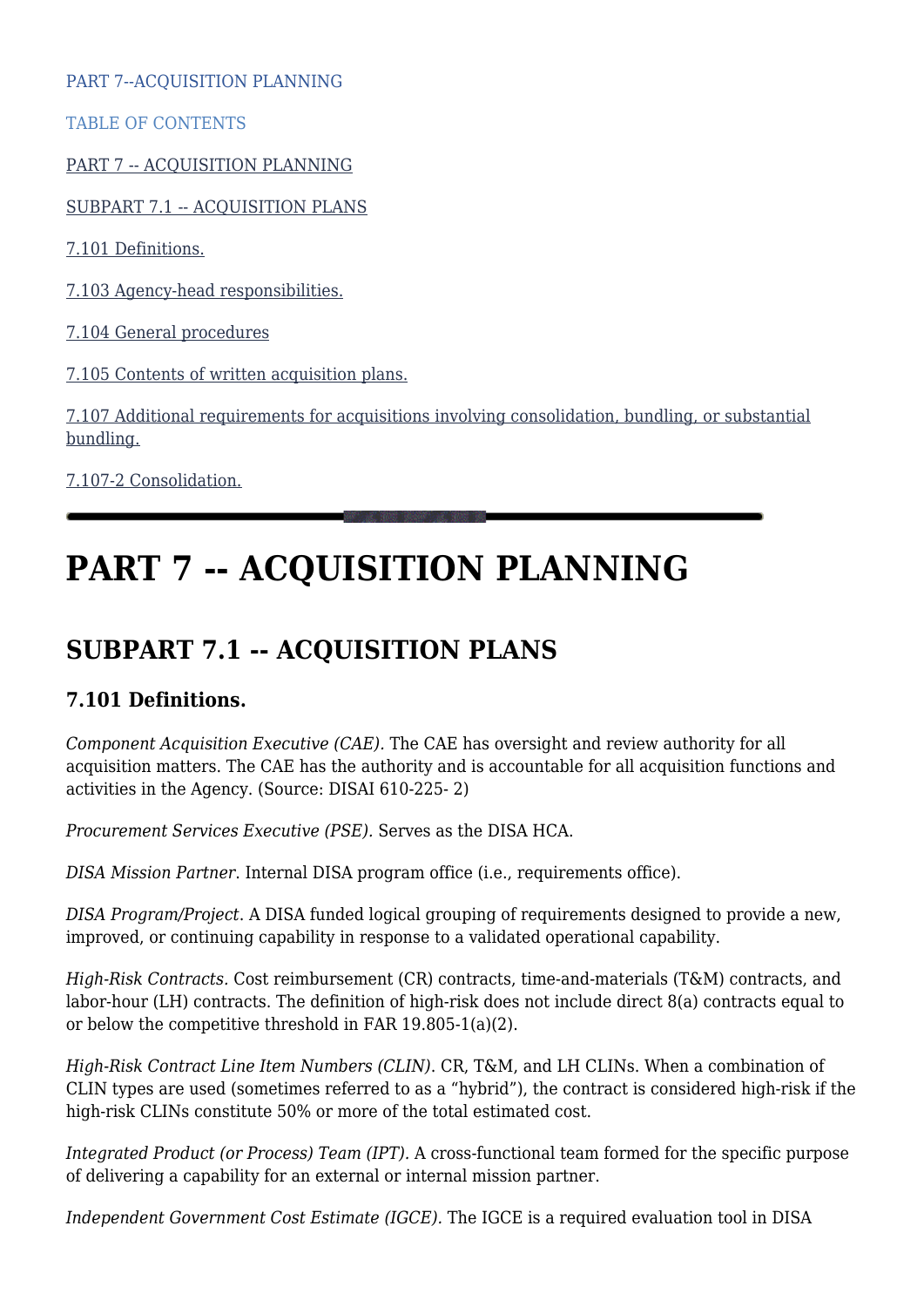PART 7--ACQUISITION PLANNING

TABLE OF CONTENTS

[PART 7 -- ACQUISITION PLANNING](#page--1-0)

[SUBPART 7.1 -- ACQUISITION PLANS](#page--1-0)

[7.101 Definitions.](#page--1-0)

[7.103 Agency-head responsibilities.](#page--1-0)

[7.104 General procedures](#page--1-0)

[7.105 Contents of written acquisition plans.](#page--1-0)

[7.107 Additional requirements for acquisitions involving consolidation, bundling, or substantial](#page--1-0) [bundling.](#page--1-0)

[7.107-2 Consolidation.](#page--1-0)

# **PART 7 -- ACQUISITION PLANNING**

# **SUBPART 7.1 -- ACQUISITION PLANS**

# **7.101 Definitions.**

*Component Acquisition Executive (CAE).* The CAE has oversight and review authority for all acquisition matters. The CAE has the authority and is accountable for all acquisition functions and activities in the Agency. (Source: DISAI 610-225- 2)

*Procurement Services Executive (PSE).* Serves as the DISA HCA.

*DISA Mission Partner*. Internal DISA program office (i.e., requirements office).

*DISA Program/Project*. A DISA funded logical grouping of requirements designed to provide a new, improved, or continuing capability in response to a validated operational capability.

*High-Risk Contracts.* Cost reimbursement (CR) contracts, time-and-materials (T&M) contracts, and labor-hour (LH) contracts. The definition of high-risk does not include direct 8(a) contracts equal to or below the competitive threshold in FAR 19.805-1(a)(2).

*High-Risk Contract Line Item Numbers (CLIN)*. CR, T&M, and LH CLINs. When a combination of CLIN types are used (sometimes referred to as a "hybrid"), the contract is considered high-risk if the high-risk CLINs constitute 50% or more of the total estimated cost.

*Integrated Product (or Process) Team (IPT).* A cross-functional team formed for the specific purpose of delivering a capability for an external or internal mission partner.

*Independent Government Cost Estimate (IGCE).* The IGCE is a required evaluation tool in DISA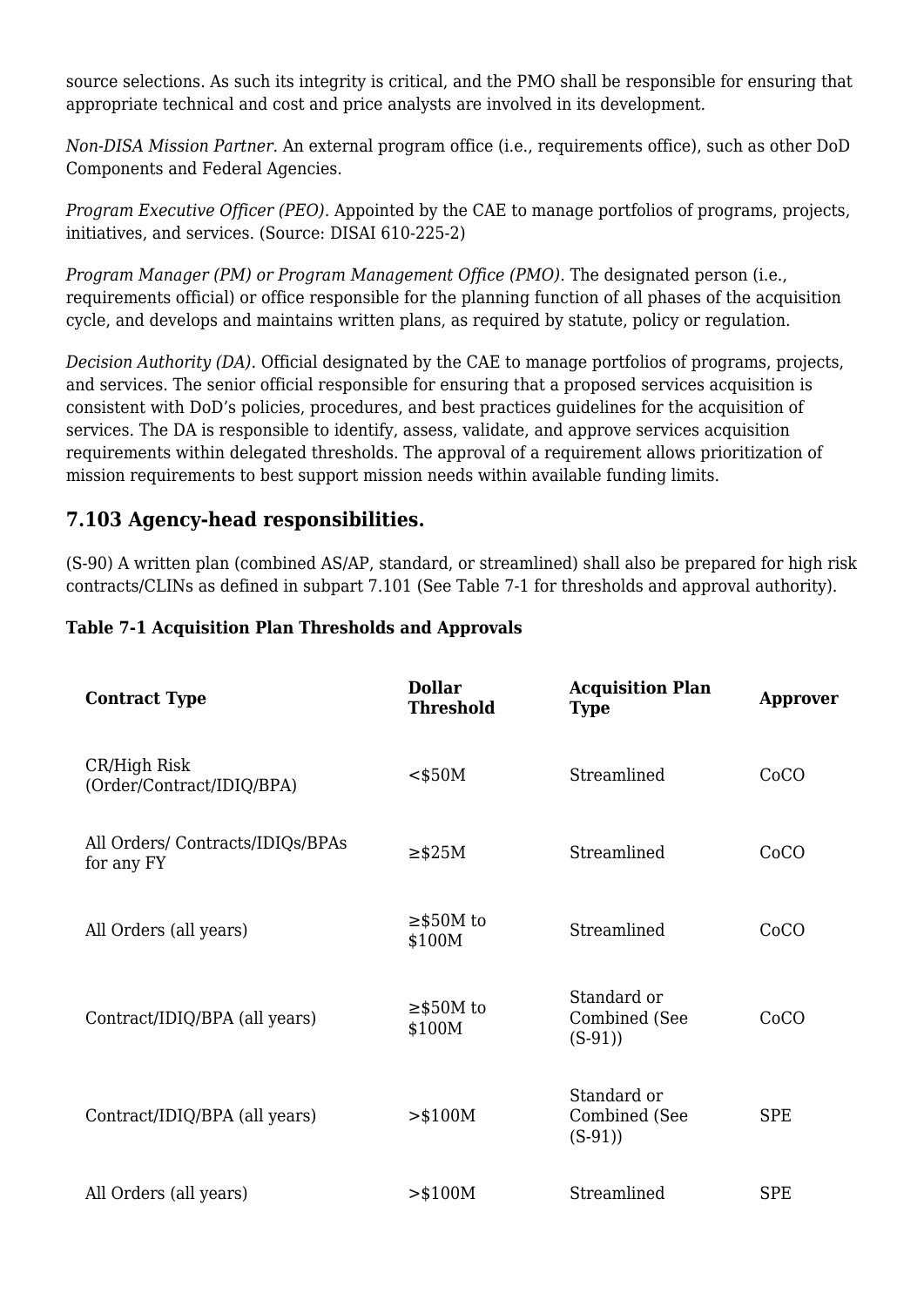source selections. As such its integrity is critical, and the PMO shall be responsible for ensuring that appropriate technical and cost and price analysts are involved in its development.

*Non-DISA Mission Partner.* An external program office (i.e., requirements office), such as other DoD Components and Federal Agencies.

*Program Executive Officer (PEO).* Appointed by the CAE to manage portfolios of programs, projects, initiatives, and services. (Source: DISAI 610-225-2)

*Program Manager (PM) or Program Management Office (PMO).* The designated person (i.e., requirements official) or office responsible for the planning function of all phases of the acquisition cycle, and develops and maintains written plans, as required by statute, policy or regulation.

*Decision Authority (DA).* Official designated by the CAE to manage portfolios of programs, projects, and services. The senior official responsible for ensuring that a proposed services acquisition is consistent with DoD's policies, procedures, and best practices guidelines for the acquisition of services. The DA is responsible to identify, assess, validate, and approve services acquisition requirements within delegated thresholds. The approval of a requirement allows prioritization of mission requirements to best support mission needs within available funding limits.

### **7.103 Agency-head responsibilities.**

(S-90) A written plan (combined AS/AP, standard, or streamlined) shall also be prepared for high risk contracts/CLINs as defined in subpart 7.101 (See Table 7-1 for thresholds and approval authority).

#### **Table 7-1 Acquisition Plan Thresholds and Approvals**

| <b>Contract Type</b>                          | <b>Dollar</b><br><b>Threshold</b> | <b>Acquisition Plan</b><br><b>Type</b>   | <b>Approver</b> |
|-----------------------------------------------|-----------------------------------|------------------------------------------|-----------------|
| CR/High Risk<br>(Order/Contract/IDIQ/BPA)     | $<$ \$50M                         | Streamlined                              | CoCO            |
| All Orders/Contracts/IDIQs/BPAs<br>for any FY | $\geq$ \$25M                      | Streamlined                              | CoCO            |
| All Orders (all years)                        | $\geq$ \$50M to<br>\$100M         | Streamlined                              | CoCO            |
| Contract/IDIQ/BPA (all years)                 | $\geq$ \$50M to<br>\$100M         | Standard or<br>Combined (See<br>$(S-91)$ | CoCO            |
| Contract/IDIQ/BPA (all years)                 | $>$ \$100M                        | Standard or<br>Combined (See<br>$(S-91)$ | <b>SPE</b>      |
| All Orders (all years)                        | > \$100M                          | Streamlined                              | <b>SPE</b>      |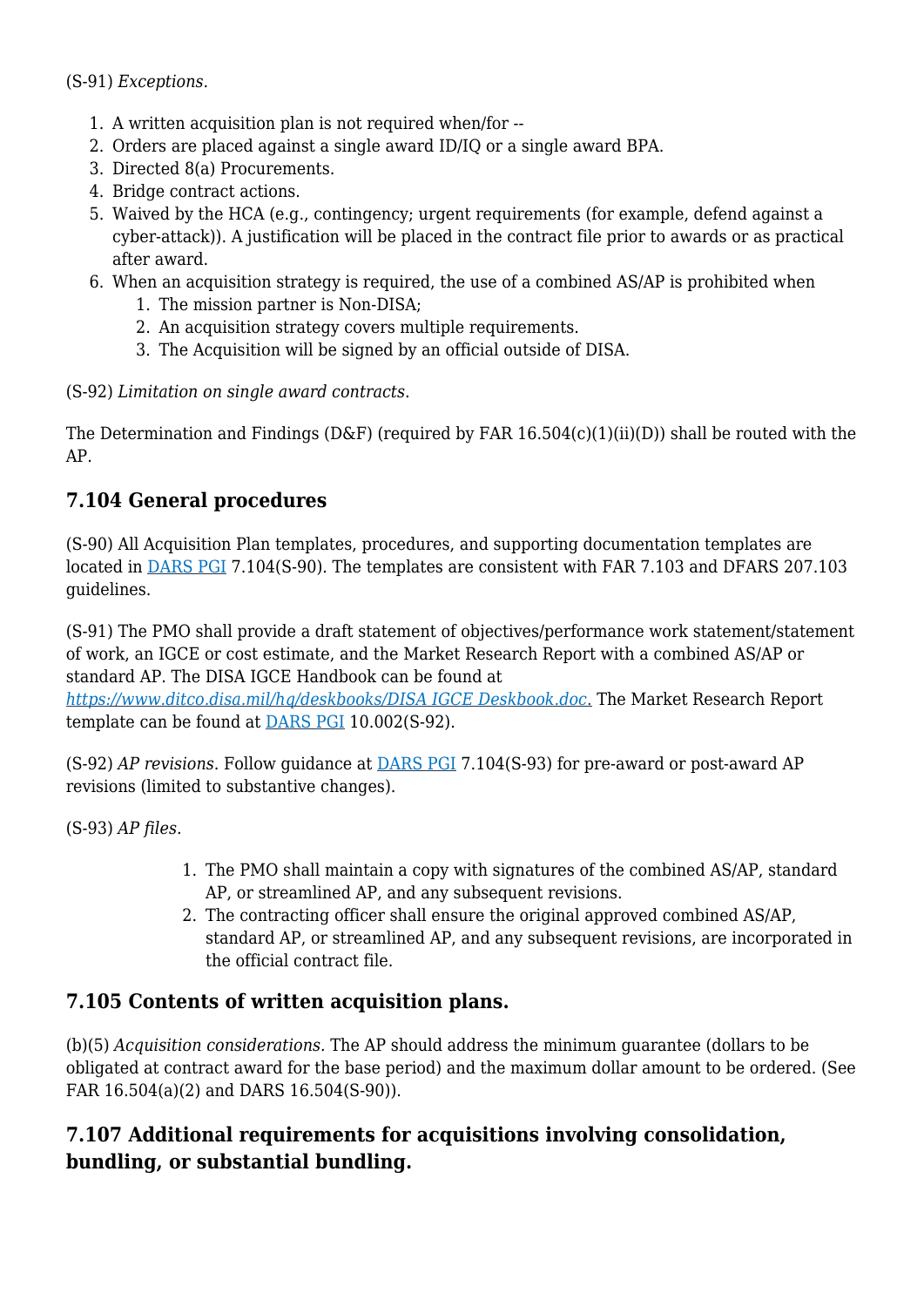(S-91) *Exceptions.*

- 1. A written acquisition plan is not required when/for --
- 2. Orders are placed against a single award ID/IQ or a single award BPA.
- 3. Directed 8(a) Procurements.
- 4. Bridge contract actions.
- 5. Waived by the HCA (e.g., contingency; urgent requirements (for example, defend against a cyber-attack)). A justification will be placed in the contract file prior to awards or as practical after award.
- 6. When an acquisition strategy is required, the use of a combined AS/AP is prohibited when
	- 1. The mission partner is Non-DISA;
	- 2. An acquisition strategy covers multiple requirements.
	- 3. The Acquisition will be signed by an official outside of DISA.

(S-92) *Limitation on single award contracts*.

The Determination and Findings (D&F) (required by FAR  $16.504(c)(1)(ii)(D)$ ) shall be routed with the AP.

# **7.104 General procedures**

(S-90) All Acquisition Plan templates, procedures, and supporting documentation templates are located in [DARS PGI](https://disa.deps.mil/org/PL2/Pages/DITCORefs.aspx) 7.104(S-90). The templates are consistent with FAR 7.103 and DFARS 207.103 guidelines.

(S-91) The PMO shall provide a draft statement of objectives/performance work statement/statement of work, an IGCE or cost estimate, and the Market Research Report with a combined AS/AP or standard AP. The DISA IGCE Handbook can be found at

*[https://www.ditco.disa.mil/hq/deskbooks/DISA IGCE Deskbook.doc](https://www.ditco.disa.mil/hq/deskbooks/DISA%20IGCE%20Deskbook.doc)*[.](https://www.ditco.disa.mil/hq/deskbooks/DISA%20IGCE%20Deskbook.doc) The Market Research Report template can be found at [DARS PGI](https://disa.deps.mil/org/PL2/Pages/DITCORefs.aspx) 10.002(S-92).

(S-92) *AP revisions*. Follow guidance at [DARS PGI](https://disa.deps.mil/org/PL2/Pages/DITCORefs.aspx) 7.104(S-93) for pre-award or post-award AP revisions (limited to substantive changes).

(S-93) *AP files*.

- 1. The PMO shall maintain a copy with signatures of the combined AS/AP, standard AP, or streamlined AP, and any subsequent revisions.
- 2. The contracting officer shall ensure the original approved combined AS/AP, standard AP, or streamlined AP, and any subsequent revisions, are incorporated in the official contract file.

# **7.105 Contents of written acquisition plans.**

(b)(5) *Acquisition considerations.* The AP should address the minimum guarantee (dollars to be obligated at contract award for the base period) and the maximum dollar amount to be ordered. (See FAR 16.504(a)(2) and DARS 16.504(S-90)).

# **7.107 Additional requirements for acquisitions involving consolidation, bundling, or substantial bundling.**